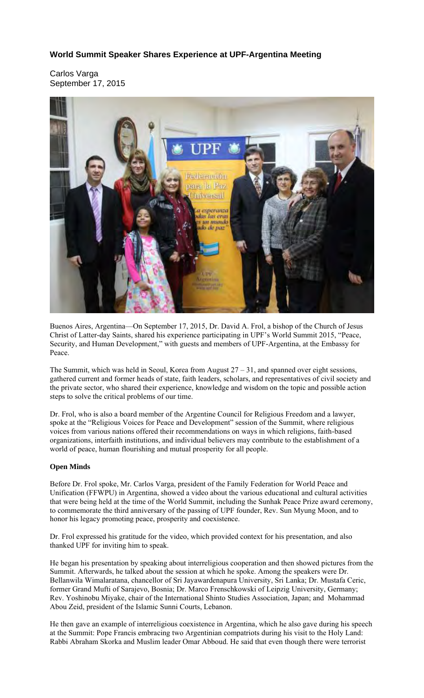# **World Summit Speaker Shares Experience at UPF-Argentina Meeting**

Carlos Varga September 17, 2015



Buenos Aires, Argentina—On September 17, 2015, Dr. David A. Frol, a bishop of the Church of Jesus Christ of Latter-day Saints, shared his experience participating in UPF's World Summit 2015, "Peace, Security, and Human Development," with guests and members of UPF-Argentina, at the Embassy for Peace.

The Summit, which was held in Seoul, Korea from August  $27 - 31$ , and spanned over eight sessions, gathered current and former heads of state, faith leaders, scholars, and representatives of civil society and the private sector, who shared their experience, knowledge and wisdom on the topic and possible action steps to solve the critical problems of our time.

Dr. Frol, who is also a board member of the Argentine Council for Religious Freedom and a lawyer, spoke at the "Religious Voices for Peace and Development" session of the Summit, where religious voices from various nations offered their recommendations on ways in which religions, faith-based organizations, interfaith institutions, and individual believers may contribute to the establishment of a world of peace, human flourishing and mutual prosperity for all people.

### **Open Minds**

Before Dr. Frol spoke, Mr. Carlos Varga, president of the Family Federation for World Peace and Unification (FFWPU) in Argentina, showed a video about the various educational and cultural activities that were being held at the time of the World Summit, including the Sunhak Peace Prize award ceremony, to commemorate the third anniversary of the passing of UPF founder, Rev. Sun Myung Moon, and to honor his legacy promoting peace, prosperity and coexistence.

Dr. Frol expressed his gratitude for the video, which provided context for his presentation, and also thanked UPF for inviting him to speak.

He began his presentation by speaking about interreligious cooperation and then showed pictures from the Summit. Afterwards, he talked about the session at which he spoke. Among the speakers were Dr. Bellanwila Wimalaratana, chancellor of Sri Jayawardenapura University, Sri Lanka; Dr. Mustafa Ceric, former Grand Mufti of Sarajevo, Bosnia; Dr. Marco Frenschkowski of Leipzig University, Germany; Rev. Yoshinobu Miyake, chair of the International Shinto Studies Association, Japan; and Mohammad Abou Zeid, president of the Islamic Sunni Courts, Lebanon.

He then gave an example of interreligious coexistence in Argentina, which he also gave during his speech at the Summit: Pope Francis embracing two Argentinian compatriots during his visit to the Holy Land: Rabbi Abraham Skorka and Muslim leader Omar Abboud. He said that even though there were terrorist